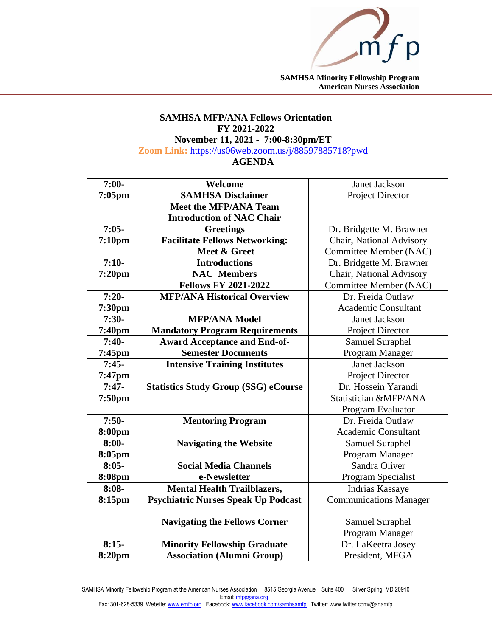

**SAMHSA Minority Fellowship Program American Nurses Association**

## **SAMHSA MFP/ANA Fellows Orientation FY 2021-2022**

**November 11, 2021 - 7:00-8:30pm/ET**

**Zoom Link:** [https://us06web.zoom.us/j/88597885718?pwd](https://us06web.zoom.us/j/88597885718?pwd=MCtKTnBvYmNzdnVhTE1xNTY5MmFQZz09)

## **AGENDA**

| $7:00-$            | Welcome                                     | Janet Jackson                 |
|--------------------|---------------------------------------------|-------------------------------|
| $7:05$ pm          | <b>SAMHSA Disclaimer</b>                    | Project Director              |
|                    | <b>Meet the MFP/ANA Team</b>                |                               |
|                    | <b>Introduction of NAC Chair</b>            |                               |
| $7:05-$            | <b>Greetings</b>                            | Dr. Bridgette M. Brawner      |
| 7:10 <sub>pm</sub> | <b>Facilitate Fellows Networking:</b>       | Chair, National Advisory      |
|                    | Meet & Greet                                | Committee Member (NAC)        |
| $7:10-$            | <b>Introductions</b>                        | Dr. Bridgette M. Brawner      |
| $7:20$ pm          | <b>NAC Members</b>                          | Chair, National Advisory      |
|                    | <b>Fellows FY 2021-2022</b>                 | Committee Member (NAC)        |
| $7:20-$            | <b>MFP/ANA Historical Overview</b>          | Dr. Freida Outlaw             |
| 7:30pm             |                                             | <b>Academic Consultant</b>    |
| $7:30-$            | <b>MFP/ANA Model</b>                        | Janet Jackson                 |
| 7:40pm             | <b>Mandatory Program Requirements</b>       | Project Director              |
| $7:40-$            | <b>Award Acceptance and End-of-</b>         | Samuel Suraphel               |
| $7:45$ pm          | <b>Semester Documents</b>                   | Program Manager               |
| $7:45-$            | <b>Intensive Training Institutes</b>        | <b>Janet Jackson</b>          |
| 7:47pm             |                                             | Project Director              |
| $7:47-$            | <b>Statistics Study Group (SSG) eCourse</b> | Dr. Hossein Yarandi           |
| 7:50pm             |                                             | Statistician &MFP/ANA         |
|                    |                                             | Program Evaluator             |
| $7:50-$            | <b>Mentoring Program</b>                    | Dr. Freida Outlaw             |
| 8:00pm             |                                             | <b>Academic Consultant</b>    |
| $8:00-$            | <b>Navigating the Website</b>               | Samuel Suraphel               |
| 8:05pm             |                                             | Program Manager               |
| $8:05-$            | <b>Social Media Channels</b>                | Sandra Oliver                 |
| 8:08pm             | e-Newsletter                                | Program Specialist            |
| $8:08-$            | <b>Mental Health Trailblazers,</b>          | Indrias Kassaye               |
| 8:15pm             | <b>Psychiatric Nurses Speak Up Podcast</b>  | <b>Communications Manager</b> |
|                    |                                             |                               |
|                    | <b>Navigating the Fellows Corner</b>        | <b>Samuel Suraphel</b>        |
|                    |                                             | Program Manager               |
| $8:15-$            | <b>Minority Fellowship Graduate</b>         | Dr. LaKeetra Josey            |
| 8:20pm             | <b>Association (Alumni Group)</b>           | President, MFGA               |